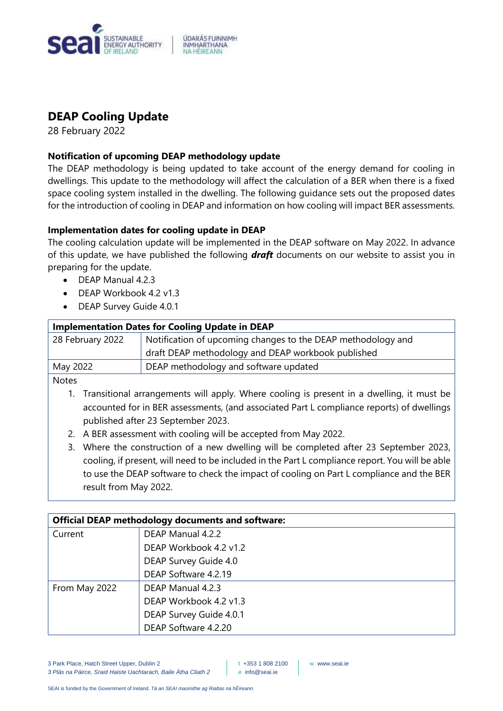

# **DEAP Cooling Update**

28 February 2022

# **Notification of upcoming DEAP methodology update**

The DEAP methodology is being updated to take account of the energy demand for cooling in dwellings. This update to the methodology will affect the calculation of a BER when there is a fixed space cooling system installed in the dwelling. The following guidance sets out the proposed dates for the introduction of cooling in DEAP and information on how cooling will impact BER assessments.

# **Implementation dates for cooling update in DEAP**

The cooling calculation update will be implemented in the DEAP software on May 2022. In advance of this update, we have published the following *draft* documents on our website to assist you in preparing for the update.

- DEAP Manual 4.2.3
- DEAP Workbook 4.2 v1.3
- DEAP Survey Guide 4.0.1

| <b>Implementation Dates for Cooling Update in DEAP</b> |                                                              |
|--------------------------------------------------------|--------------------------------------------------------------|
| 28 February 2022                                       | Notification of upcoming changes to the DEAP methodology and |
|                                                        | draft DEAP methodology and DEAP workbook published           |
| May 2022                                               | DEAP methodology and software updated                        |
|                                                        |                                                              |

Notes

- 1. Transitional arrangements will apply. Where cooling is present in a dwelling, it must be accounted for in BER assessments, (and associated Part L compliance reports) of dwellings published after 23 September 2023.
- 2. A BER assessment with cooling will be accepted from May 2022.
- 3. Where the construction of a new dwelling will be completed after 23 September 2023, cooling, if present, will need to be included in the Part L compliance report. You will be able to use the DEAP software to check the impact of cooling on Part L compliance and the BER result from May 2022.

| <b>Official DEAP methodology documents and software:</b> |                         |
|----------------------------------------------------------|-------------------------|
| Current                                                  | DEAP Manual 4.2.2       |
|                                                          | DEAP Workbook 4.2 v1.2  |
|                                                          | DEAP Survey Guide 4.0   |
|                                                          | DEAP Software 4.2.19    |
| From May 2022                                            | DEAP Manual 4.2.3       |
|                                                          | DEAP Workbook 4.2 v1.3  |
|                                                          | DEAP Survey Guide 4.0.1 |
|                                                          | DEAP Software 4.2.20    |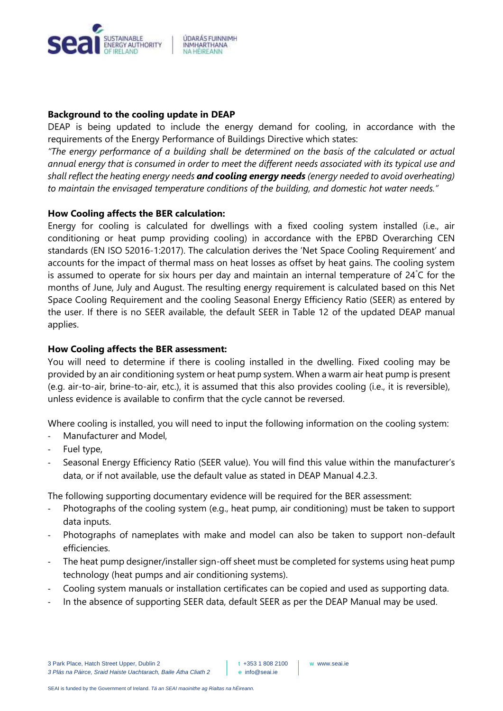

## **Background to the cooling update in DEAP**

DEAP is being updated to include the energy demand for cooling, in accordance with the requirements of the Energy Performance of Buildings Directive which states:

*"The energy performance of a building shall be determined on the basis of the calculated or actual annual energy that is consumed in order to meet the different needs associated with its typical use and shall reflect the heating energy needs and cooling energy needs (energy needed to avoid overheating) to maintain the envisaged temperature conditions of the building, and domestic hot water needs."*

## **How Cooling affects the BER calculation:**

Energy for cooling is calculated for dwellings with a fixed cooling system installed (i.e., air conditioning or heat pump providing cooling) in accordance with the EPBD Overarching CEN standards (EN ISO 52016-1:2017). The calculation derives the 'Net Space Cooling Requirement' and accounts for the impact of thermal mass on heat losses as offset by heat gains. The cooling system is assumed to operate for six hours per day and maintain an internal temperature of 24°C for the months of June, July and August. The resulting energy requirement is calculated based on this Net Space Cooling Requirement and the cooling Seasonal Energy Efficiency Ratio (SEER) as entered by the user. If there is no SEER available, the default SEER in Table 12 of the updated DEAP manual applies.

### **How Cooling affects the BER assessment:**

You will need to determine if there is cooling installed in the dwelling. Fixed cooling may be provided by an air conditioning system or heat pump system. When a warm air heat pump is present (e.g. air-to-air, brine-to-air, etc.), it is assumed that this also provides cooling (i.e., it is reversible), unless evidence is available to confirm that the cycle cannot be reversed.

Where cooling is installed, you will need to input the following information on the cooling system:

- Manufacturer and Model,
- Fuel type,
- Seasonal Energy Efficiency Ratio (SEER value). You will find this value within the manufacturer's data, or if not available, use the default value as stated in DEAP Manual 4.2.3.

The following supporting documentary evidence will be required for the BER assessment:

- Photographs of the cooling system (e.g., heat pump, air conditioning) must be taken to support data inputs.
- Photographs of nameplates with make and model can also be taken to support non-default efficiencies.
- The heat pump designer/installer sign-off sheet must be completed for systems using heat pump technology (heat pumps and air conditioning systems).
- Cooling system manuals or installation certificates can be copied and used as supporting data.
- In the absence of supporting SEER data, default SEER as per the DEAP Manual may be used.